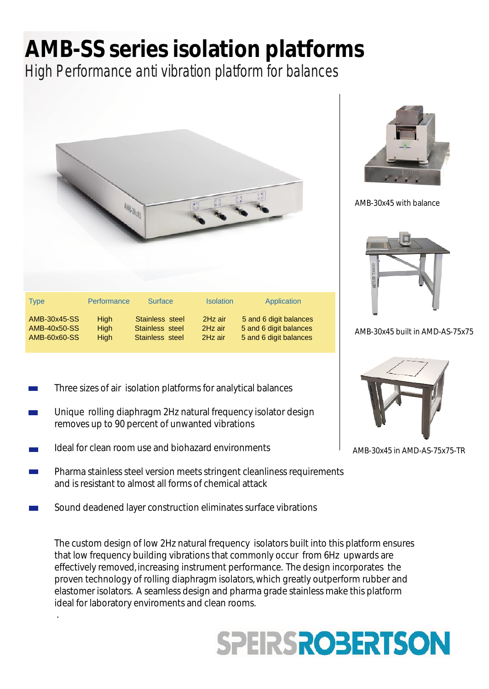## **AMB-SS series isolation platforms**

High Performance anti vibration platform for balances



- Three sizes of air isolation platforms for analytical balances
- Unique rolling diaphragm 2Hz natural frequency isolator design removes up to 90 percent of unwanted vibrations
- Ideal for clean room use and biohazard environments

.

- Pharma stainless steel version meets stringent cleanliness requirements and is resistant to almost all forms of chemical attack
- Sound deadened layer construction eliminates surface vibrations

The custom design of low 2Hz natural frequency isolators built into this platform ensures that low frequency building vibrations that commonly occur from 6Hz upwards are effectively removed, increasing instrument performance. The design incorporates the proven technology of rolling diaphragm isolators,which greatly outperform rubber and elastomer isolators. A seamless design and pharma grade stainless make this platform ideal for laboratory enviroments and clean rooms.

## **SPEIRSROBERTSON**



AMB-30x45 with balance



AMB-30x45 built in AMD-AS-75x75



AMB-30x45 in AMD-AS-75x75-TR